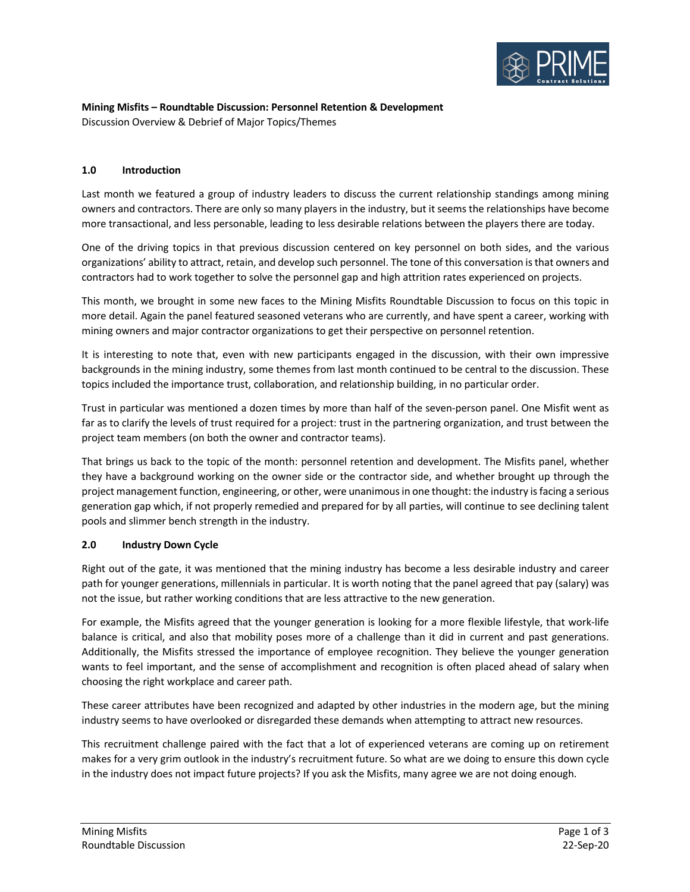

# **Mining Misfits – Roundtable Discussion: Personnel Retention & Development** Discussion Overview & Debrief of Major Topics/Themes

# **1.0 Introduction**

Last month we featured a group of industry leaders to discuss the current relationship standings among mining owners and contractors. There are only so many players in the industry, but it seems the relationships have become more transactional, and less personable, leading to less desirable relations between the players there are today.

One of the driving topics in that previous discussion centered on key personnel on both sides, and the various organizations' ability to attract, retain, and develop such personnel. The tone of this conversation is that owners and contractors had to work together to solve the personnel gap and high attrition rates experienced on projects.

This month, we brought in some new faces to the Mining Misfits Roundtable Discussion to focus on this topic in more detail. Again the panel featured seasoned veterans who are currently, and have spent a career, working with mining owners and major contractor organizations to get their perspective on personnel retention.

It is interesting to note that, even with new participants engaged in the discussion, with their own impressive backgrounds in the mining industry, some themes from last month continued to be central to the discussion. These topics included the importance trust, collaboration, and relationship building, in no particular order.

Trust in particular was mentioned a dozen times by more than half of the seven-person panel. One Misfit went as far as to clarify the levels of trust required for a project: trust in the partnering organization, and trust between the project team members (on both the owner and contractor teams).

That brings us back to the topic of the month: personnel retention and development. The Misfits panel, whether they have a background working on the owner side or the contractor side, and whether brought up through the project management function, engineering, or other, were unanimous in one thought: the industry is facing a serious generation gap which, if not properly remedied and prepared for by all parties, will continue to see declining talent pools and slimmer bench strength in the industry.

### **2.0 Industry Down Cycle**

Right out of the gate, it was mentioned that the mining industry has become a less desirable industry and career path for younger generations, millennials in particular. It is worth noting that the panel agreed that pay (salary) was not the issue, but rather working conditions that are less attractive to the new generation.

For example, the Misfits agreed that the younger generation is looking for a more flexible lifestyle, that work-life balance is critical, and also that mobility poses more of a challenge than it did in current and past generations. Additionally, the Misfits stressed the importance of employee recognition. They believe the younger generation wants to feel important, and the sense of accomplishment and recognition is often placed ahead of salary when choosing the right workplace and career path.

These career attributes have been recognized and adapted by other industries in the modern age, but the mining industry seems to have overlooked or disregarded these demands when attempting to attract new resources.

This recruitment challenge paired with the fact that a lot of experienced veterans are coming up on retirement makes for a very grim outlook in the industry's recruitment future. So what are we doing to ensure this down cycle in the industry does not impact future projects? If you ask the Misfits, many agree we are not doing enough.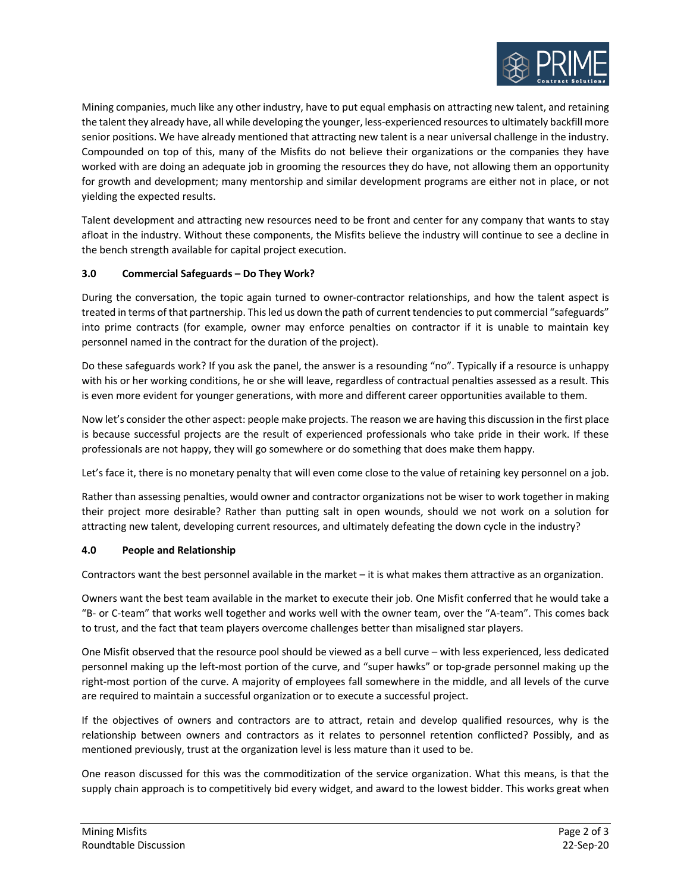

Mining companies, much like any other industry, have to put equal emphasis on attracting new talent, and retaining the talent they already have, all while developing the younger, less-experienced resources to ultimately backfill more senior positions. We have already mentioned that attracting new talent is a near universal challenge in the industry. Compounded on top of this, many of the Misfits do not believe their organizations or the companies they have worked with are doing an adequate job in grooming the resources they do have, not allowing them an opportunity for growth and development; many mentorship and similar development programs are either not in place, or not yielding the expected results.

Talent development and attracting new resources need to be front and center for any company that wants to stay afloat in the industry. Without these components, the Misfits believe the industry will continue to see a decline in the bench strength available for capital project execution.

# **3.0 Commercial Safeguards – Do They Work?**

During the conversation, the topic again turned to owner-contractor relationships, and how the talent aspect is treated in terms of that partnership. This led us down the path of current tendencies to put commercial "safeguards" into prime contracts (for example, owner may enforce penalties on contractor if it is unable to maintain key personnel named in the contract for the duration of the project).

Do these safeguards work? If you ask the panel, the answer is a resounding "no". Typically if a resource is unhappy with his or her working conditions, he or she will leave, regardless of contractual penalties assessed as a result. This is even more evident for younger generations, with more and different career opportunities available to them.

Now let's consider the other aspect: people make projects. The reason we are having this discussion in the first place is because successful projects are the result of experienced professionals who take pride in their work. If these professionals are not happy, they will go somewhere or do something that does make them happy.

Let's face it, there is no monetary penalty that will even come close to the value of retaining key personnel on a job.

Rather than assessing penalties, would owner and contractor organizations not be wiser to work together in making their project more desirable? Rather than putting salt in open wounds, should we not work on a solution for attracting new talent, developing current resources, and ultimately defeating the down cycle in the industry?

#### **4.0 People and Relationship**

Contractors want the best personnel available in the market – it is what makes them attractive as an organization.

Owners want the best team available in the market to execute their job. One Misfit conferred that he would take a "B- or C-team" that works well together and works well with the owner team, over the "A-team". This comes back to trust, and the fact that team players overcome challenges better than misaligned star players.

One Misfit observed that the resource pool should be viewed as a bell curve – with less experienced, less dedicated personnel making up the left-most portion of the curve, and "super hawks" or top-grade personnel making up the right-most portion of the curve. A majority of employees fall somewhere in the middle, and all levels of the curve are required to maintain a successful organization or to execute a successful project.

If the objectives of owners and contractors are to attract, retain and develop qualified resources, why is the relationship between owners and contractors as it relates to personnel retention conflicted? Possibly, and as mentioned previously, trust at the organization level is less mature than it used to be.

One reason discussed for this was the commoditization of the service organization. What this means, is that the supply chain approach is to competitively bid every widget, and award to the lowest bidder. This works great when